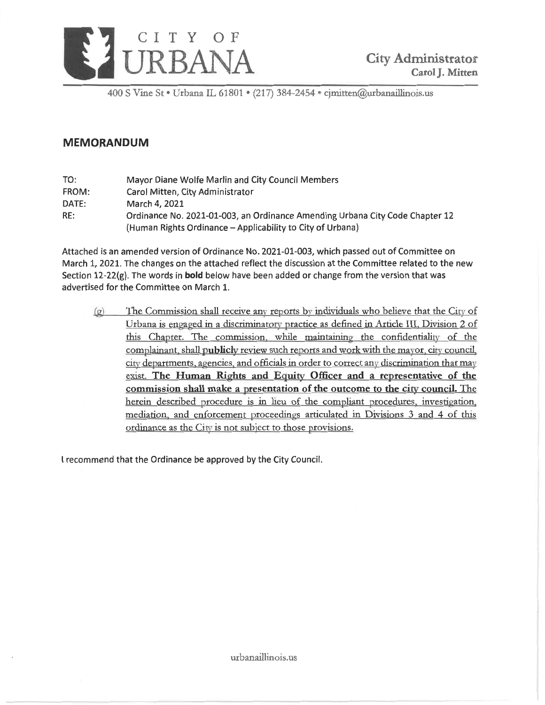

400 S Vine St • Urbana IL 61801 • (217) 384-2454 • cimitten@urbanaillinois.us

# **MEMORANDUM**

TO: Mayor Diane Wolfe Marlin and City Council Members Carol Mitten, City Administrator FROM: DATE: March 4, 2021 Ordinance No. 2021-01-003, an Ordinance Amending Urbana City Code Chapter 12 RE: (Human Rights Ordinance - Applicability to City of Urbana)

Attached is an amended version of Ordinance No. 2021-01-003, which passed out of Committee on March 1, 2021. The changes on the attached reflect the discussion at the Committee related to the new Section 12-22(g). The words in bold below have been added or change from the version that was advertised for the Committee on March 1.

The Commission shall receive any reports by individuals who believe that the City of  $\left( \rho \right)$ Urbana is engaged in a discriminatory practice as defined in Article III, Division 2 of this Chapter. The commission, while maintaining the confidentiality of the complainant, shall publicly review such reports and work with the mayor, city council, city departments, agencies, and officials in order to correct any discrimination that may exist. The Human Rights and Equity Officer and a representative of the commission shall make a presentation of the outcome to the city council. The herein described procedure is in lieu of the compliant procedures, investigation, mediation, and enforcement proceedings articulated in Divisions 3 and 4 of this ordinance as the City is not subject to those provisions.

I recommend that the Ordinance be approved by the City Council.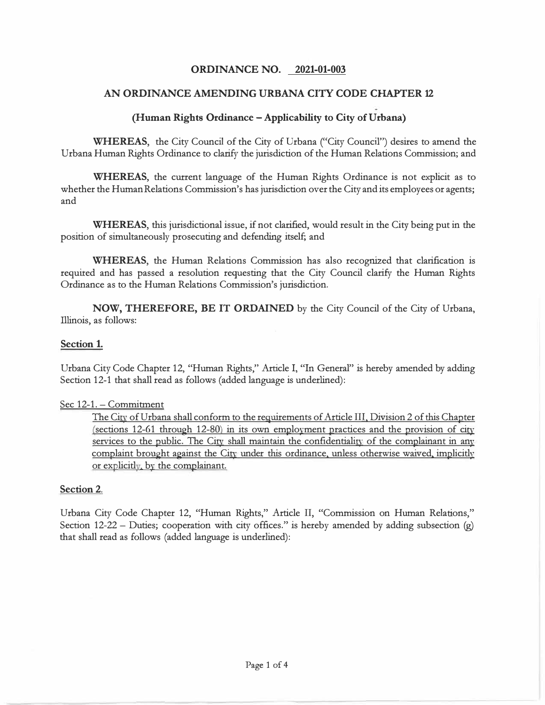### **ORDINANCE NO. 2021-01-003**

### **AN ORDINANCE AMENDING URBANA CITY CODE CHAPTER 12**

### **(Human Rights Ordinance -Applicability to City of Urbana)**

**WHEREAS,** the City Council of the City of Urbana ("City Council") desires to amend the Urbana Human Rights Ordinance to clarify the jurisdiction of the Human Relations Commission; and

**WHEREAS,** the current language of the Human Rights Ordinance is not explicit as to whether the Human Relations Commission's has jurisdiction over the City and its employees or agents; and

**WHEREAS,** this jurisdictional issue, if not clarified, would result in the City being put in the position of simultaneously prosecuting and defending itself; and

**WHEREAS,** the Human Relations Commission has also recognized that clarification is required and has passed a resolution requesting that the City Council clarify the Human Rights Ordinance as to the Human Relations Commission's jurisdiction.

**NOW, THEREFORE, BE IT ORDAINED** by the City Council of the City of Urbana, Illinois, as follows:

#### **Section 1.**

Urbana City Code Chapter 12, "Human Rights," Article I, "In General" is hereby amended by adding Section 12-1 that shall read as follows (added language is underlined):

#### Sec 12-1. - Commitment

The City of Urbana shall conform to the requirements of Article III, Division 2 of this Chapter (sections 12-61 through 12-80) in its own employment practices and the provision of city services to the public. The City shall maintain the confidentiality of the complainant in any complaint brought against the City under this ordinance, unless otherwise waived, implicitly or explicitly, by the complainant.

### **Section 2.**

Urbana City Code Chapter 12, "Human Rights," Article II, "Commission on Human Relations," Section 12-22 – Duties; cooperation with city offices." is hereby amended by adding subsection  $(g)$ that shall read as follows (added language is underlined):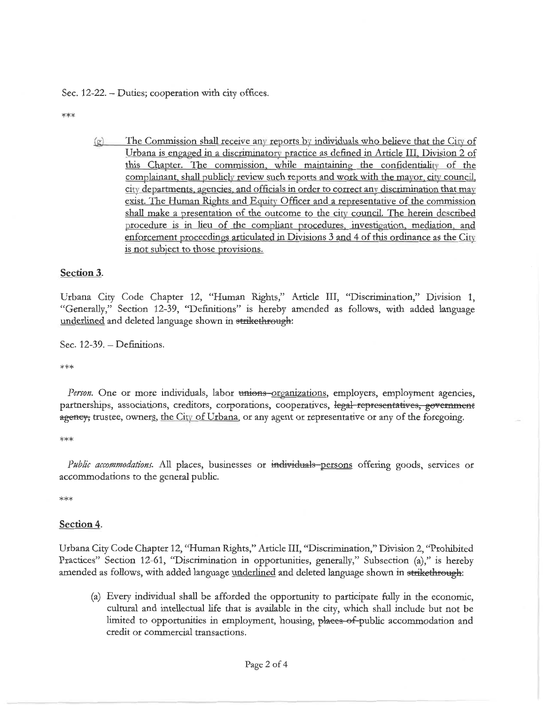Sec. 12-22. - Duties; cooperation with city offices.

\*\*\*

 $(g)$ The Commission shall receive any reports by individuals who believe that the City of Urbana is engaged in a discriminatory practice as defined in Article III, Division 2 of this Chapter. The commission, while maintaining the confidentiality of the complainant, shall publicly review such reports and work with the mayor, city council, city departments, agencies, and officials in order to correct any discrimination that may exist. The Human Rights and Equity Officer and a representative of the commission shall make a presentation of the outcome to the city council. The herein described procedure is in lieu of the compliant procedures, investigation, mediation, and enforcement proceedings articulated in Divisions 3 and 4 of this ordinance as the City is not subject to those provisions.

### Section 3.

Urbana City Code Chapter 12, "Human Rights," Article III, "Discrimination," Division 1, "Generally," Section 12-39, "Definitions" is hereby amended as follows, with added language underlined and deleted language shown in strikethrough:

Sec.  $12-39.$  - Definitions.

\*\*\*

*Person*. One or more individuals, labor unions-organizations, employers, employment agencies, partnerships, associations, creditors, corporations, cooperatives, legal representatives, government agency, trustee, owners, the City of Urbana, or any agent or representative or any of the foregoing.

 $***$ 

Public accommodations. All places, businesses or individuals-persons offering goods, services or accommodations to the general public.

 $***$ 

### Section 4.

Urbana City Code Chapter 12, "Human Rights," Article III, "Discrimination," Division 2, "Prohibited Practices" Section 12-61, "Discrimination in opportunities, generally," Subsection (a)," is hereby amended as follows, with added language underlined and deleted language shown in strikethrough:

(a) Every individual shall be afforded the opportunity to participate fully in the economic, cultural and intellectual life that is available in the city, which shall include but not be limited to opportunities in employment, housing, places of-public accommodation and credit or commercial transactions.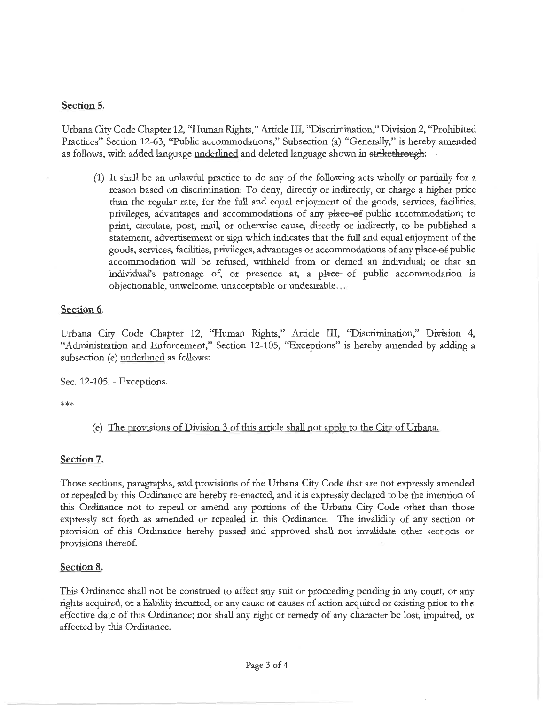# Section 5.

Urbana City Code Chapter 12, "Human Rights," Article III, "Discrimination," Division 2, "Prohibited Practices" Section 12-63, "Public accommodations," Subsection (a) "Generally," is hereby amended as follows, with added language underlined and deleted language shown in strikethrough:

(1) It shall be an unlawful practice to do any of the following acts wholly or partially for a reason based on discrimination: To deny, directly or indirectly, or charge a higher price than the regular rate, for the full and equal enjoyment of the goods, services, facilities, privileges, advantages and accommodations of any place of public accommodation; to print, circulate, post, mail, or otherwise cause, directly or indirectly, to be published a statement, advertisement or sign which indicates that the full and equal enjoyment of the goods, services, facilities, privileges, advantages or accommodations of any place of public accommodation will be refused, withheld from or denied an individual; or that an individual's patronage of, or presence at, a place of public accommodation is objectionable, unwelcome, unacceptable or undesirable...

# Section 6.

Urbana City Code Chapter 12, "Human Rights," Article III, "Discrimination," Division 4, "Administration and Enforcement," Section 12-105, "Exceptions" is hereby amended by adding a subsection (e) underlined as follows:

Sec. 12-105. - Exceptions.

\*\*\*

(e) The provisions of Division 3 of this article shall not apply to the City of Urbana.

# Section 7.

Those sections, paragraphs, and provisions of the Urbana City Code that are not expressly amended or repealed by this Ordinance are hereby re-enacted, and it is expressly declared to be the intention of this Ordinance not to repeal or amend any portions of the Urbana City Code other than those expressly set forth as amended or repealed in this Ordinance. The invalidity of any section or provision of this Ordinance hereby passed and approved shall not invalidate other sections or provisions thereof.

# Section 8.

This Ordinance shall not be construed to affect any suit or proceeding pending in any court, or any rights acquired, or a liability incurred, or any cause or causes of action acquired or existing prior to the effective date of this Ordinance; nor shall any right or remedy of any character be lost, impaired, or affected by this Ordinance.